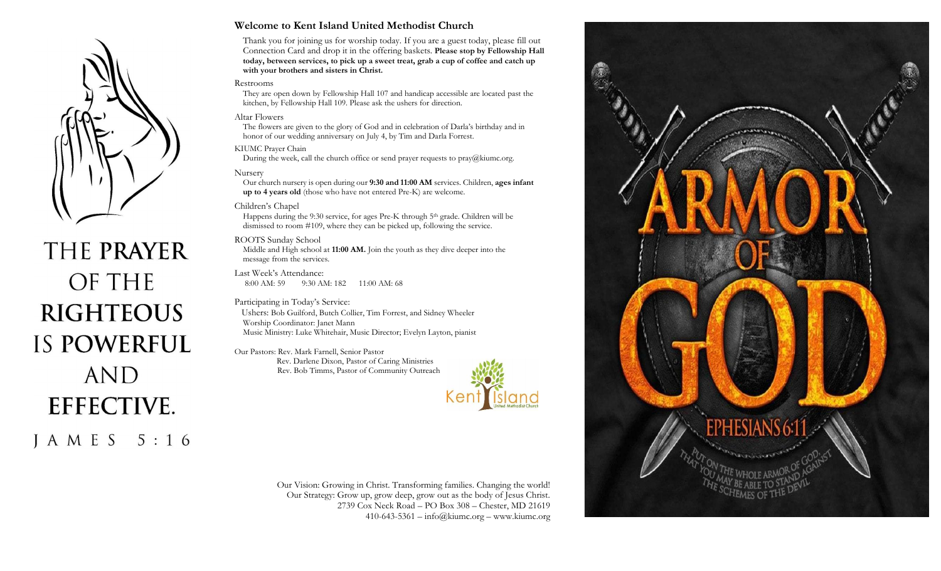

# THE PRAYER OF THE **RIGHTEOUS IS POWERFUL AND EFFECTIVE.** J A M E S 5 : 1 6

#### **Welcome to Kent Island United Methodist Church**

Thank you for joining us for worship today. If you are a guest today, please fill out Connection Card and drop it in the offering baskets. **Please stop by Fellowship Hall today, between services, to pick up a sweet treat, grab a cup of coffee and catch up with your brothers and sisters in Christ.**

#### Restrooms

They are open down by Fellowship Hall 107 and handicap accessible are located past the kitchen, by Fellowship Hall 109. Please ask the ushers for direction.

#### Altar Flowers

The flowers are given to the glory of God and in celebration of Darla's birthday and in honor of our wedding anniversary on July 4, by Tim and Darla Forrest.

#### KIUMC Prayer Chain

During the week, call the church office or send prayer requests to  $\text{pray}(a)$ kiumc.org.

#### Nursery

Our church nursery is open during our **9:30 and 11:00 AM** services. Children, **ages infant up to 4 years old** (those who have not entered Pre-K) are welcome.

#### Children's Chapel

Happens during the 9:30 service, for ages Pre-K through 5th grade. Children will be dismissed to room #109, where they can be picked up, following the service.

#### ROOTS Sunday School

Middle and High school at **11:00 AM.** Join the youth as they dive deeper into the message from the services.

Last Week's Attendance:<br>8:00 AM: 59 9:30 AJ 9:30 AM: 182 11:00 AM: 68

#### Participating in Today's Service:

 Ushers: Bob Guilford, Butch Collier, Tim Forrest, and Sidney Wheeler Worship Coordinator: Janet Mann Music Ministry: Luke Whitehair, Music Director; Evelyn Layton, pianist

Our Pastors: Rev. Mark Farnell, Senior Pastor Rev. Darlene Dixon, Pastor of Caring Ministries